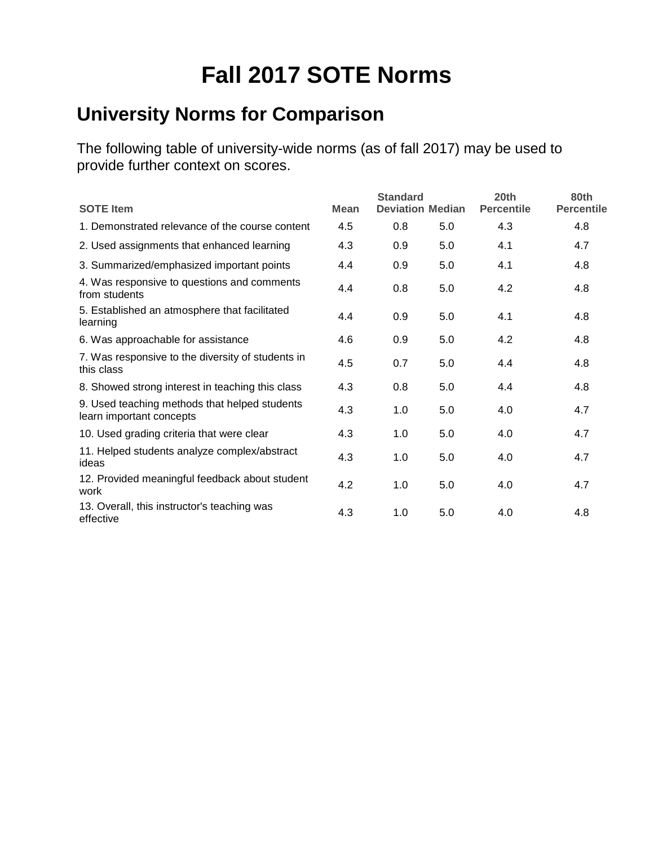# **Fall 2017 SOTE Norms**

## **University Norms for Comparison**

| <b>SOTE Item</b>                                                          | <b>Standard</b><br><b>Deviation Median</b><br><b>Mean</b> |     |     | 20 <sub>th</sub><br><b>Percentile</b> | 80th<br><b>Percentile</b> |  |
|---------------------------------------------------------------------------|-----------------------------------------------------------|-----|-----|---------------------------------------|---------------------------|--|
| 1. Demonstrated relevance of the course content                           | 4.5                                                       | 0.8 | 5.0 | 4.3                                   | 4.8                       |  |
| 2. Used assignments that enhanced learning                                | 4.3                                                       | 0.9 | 5.0 | 4.1                                   | 4.7                       |  |
| 3. Summarized/emphasized important points                                 | 4.4                                                       | 0.9 | 5.0 | 4.1                                   | 4.8                       |  |
| 4. Was responsive to questions and comments<br>from students              | 4.4                                                       | 0.8 | 5.0 | 4.2                                   | 4.8                       |  |
| 5. Established an atmosphere that facilitated<br>learning                 | 4.4                                                       | 0.9 | 5.0 | 4.1                                   | 4.8                       |  |
| 6. Was approachable for assistance                                        | 4.6                                                       | 0.9 | 5.0 | 4.2                                   | 4.8                       |  |
| 7. Was responsive to the diversity of students in<br>this class           | 4.5                                                       | 0.7 | 5.0 | 4.4                                   | 4.8                       |  |
| 8. Showed strong interest in teaching this class                          | 4.3                                                       | 0.8 | 5.0 | 4.4                                   | 4.8                       |  |
| 9. Used teaching methods that helped students<br>learn important concepts | 4.3                                                       | 1.0 | 5.0 | 4.0                                   | 4.7                       |  |
| 10. Used grading criteria that were clear                                 | 4.3                                                       | 1.0 | 5.0 | 4.0                                   | 4.7                       |  |
| 11. Helped students analyze complex/abstract<br>ideas                     | 4.3                                                       | 1.0 | 5.0 | 4.0                                   | 4.7                       |  |
| 12. Provided meaningful feedback about student<br>work                    | 4.2                                                       | 1.0 | 5.0 | 4.0                                   | 4.7                       |  |
| 13. Overall, this instructor's teaching was<br>effective                  | 4.3                                                       | 1.0 | 5.0 | 4.0                                   | 4.8                       |  |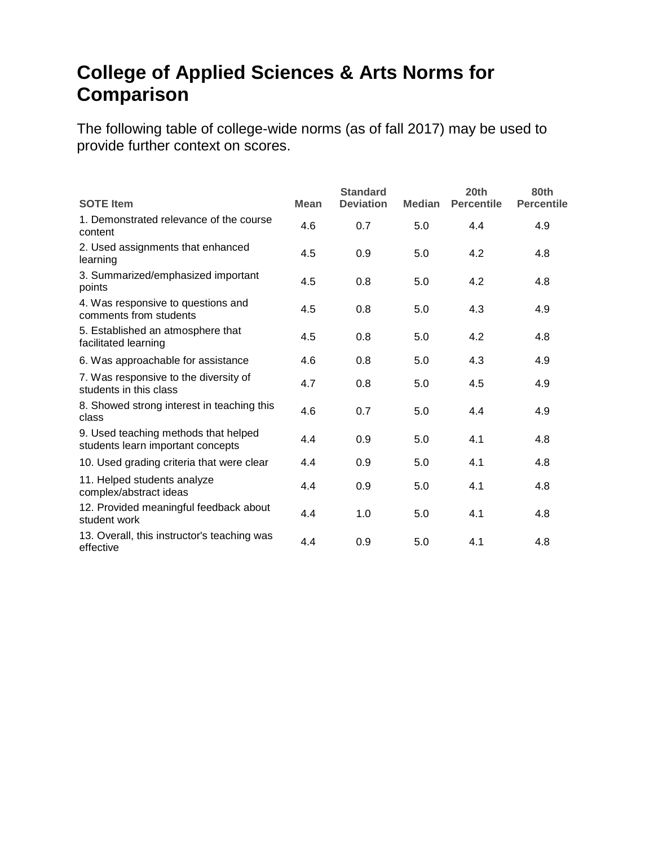#### **College of Applied Sciences & Arts Norms for Comparison**

| <b>SOTE</b> Item                                                          | <b>Mean</b> | <b>Standard</b><br><b>Deviation</b> | <b>Median</b> | 20th<br><b>Percentile</b> | 80th<br><b>Percentile</b> |
|---------------------------------------------------------------------------|-------------|-------------------------------------|---------------|---------------------------|---------------------------|
| 1. Demonstrated relevance of the course<br>content                        | 4.6         | 0.7                                 | 5.0           | 4.4                       | 4.9                       |
| 2. Used assignments that enhanced<br>learning                             | 4.5         | 0.9                                 | 5.0           | 4.2                       | 4.8                       |
| 3. Summarized/emphasized important<br>points                              | 4.5         | 0.8                                 | 5.0           | 4.2                       | 4.8                       |
| 4. Was responsive to questions and<br>comments from students              | 4.5         | 0.8                                 | 5.0           | 4.3                       | 4.9                       |
| 5. Established an atmosphere that<br>facilitated learning                 | 4.5         | 0.8                                 | 5.0           | 4.2                       | 4.8                       |
| 6. Was approachable for assistance                                        | 4.6         | 0.8                                 | 5.0           | 4.3                       | 4.9                       |
| 7. Was responsive to the diversity of<br>students in this class           | 4.7         | 0.8                                 | 5.0           | 4.5                       | 4.9                       |
| 8. Showed strong interest in teaching this<br>class                       | 4.6         | 0.7                                 | 5.0           | 4.4                       | 4.9                       |
| 9. Used teaching methods that helped<br>students learn important concepts | 4.4         | 0.9                                 | 5.0           | 4.1                       | 4.8                       |
| 10. Used grading criteria that were clear                                 | 4.4         | 0.9                                 | 5.0           | 4.1                       | 4.8                       |
| 11. Helped students analyze<br>complex/abstract ideas                     | 4.4         | 0.9                                 | 5.0           | 4.1                       | 4.8                       |
| 12. Provided meaningful feedback about<br>student work                    | 4.4         | 1.0                                 | 5.0           | 4.1                       | 4.8                       |
| 13. Overall, this instructor's teaching was<br>effective                  | 4.4         | 0.9                                 | 5.0           | 4.1                       | 4.8                       |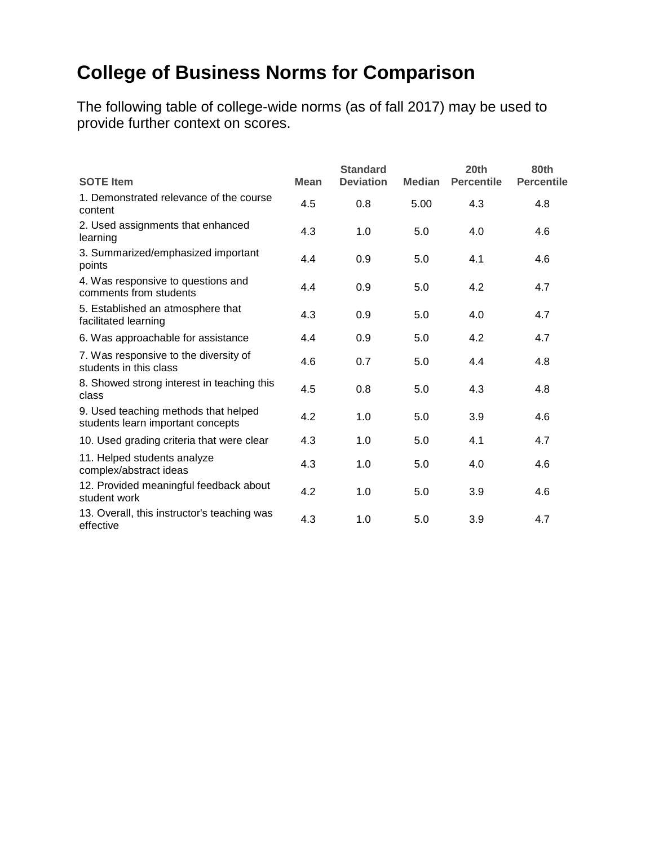## **College of Business Norms for Comparison**

| <b>SOTE Item</b>                                                          | <b>Mean</b> | <b>Standard</b><br><b>Deviation</b> | <b>Median</b> | 20th<br><b>Percentile</b> | 80th<br><b>Percentile</b> |
|---------------------------------------------------------------------------|-------------|-------------------------------------|---------------|---------------------------|---------------------------|
| 1. Demonstrated relevance of the course<br>content                        | 4.5         | 0.8                                 | 5.00          | 4.3                       | 4.8                       |
| 2. Used assignments that enhanced<br>learning                             | 4.3         | 1.0                                 | 5.0           | 4.0                       | 4.6                       |
| 3. Summarized/emphasized important<br>points                              | 4.4         | 0.9                                 | 5.0           | 4.1                       | 4.6                       |
| 4. Was responsive to questions and<br>comments from students              | 4.4         | 0.9                                 | 5.0           | 4.2                       | 4.7                       |
| 5. Established an atmosphere that<br>facilitated learning                 | 4.3         | 0.9                                 | 5.0           | 4.0                       | 4.7                       |
| 6. Was approachable for assistance                                        | 4.4         | 0.9                                 | 5.0           | 4.2                       | 4.7                       |
| 7. Was responsive to the diversity of<br>students in this class           | 4.6         | 0.7                                 | 5.0           | 4.4                       | 4.8                       |
| 8. Showed strong interest in teaching this<br>class                       | 4.5         | 0.8                                 | 5.0           | 4.3                       | 4.8                       |
| 9. Used teaching methods that helped<br>students learn important concepts | 4.2         | 1.0                                 | 5.0           | 3.9                       | 4.6                       |
| 10. Used grading criteria that were clear                                 | 4.3         | 1.0                                 | 5.0           | 4.1                       | 4.7                       |
| 11. Helped students analyze<br>complex/abstract ideas                     | 4.3         | 1.0                                 | 5.0           | 4.0                       | 4.6                       |
| 12. Provided meaningful feedback about<br>student work                    | 4.2         | 1.0                                 | 5.0           | 3.9                       | 4.6                       |
| 13. Overall, this instructor's teaching was<br>effective                  | 4.3         | 1.0                                 | 5.0           | 3.9                       | 4.7                       |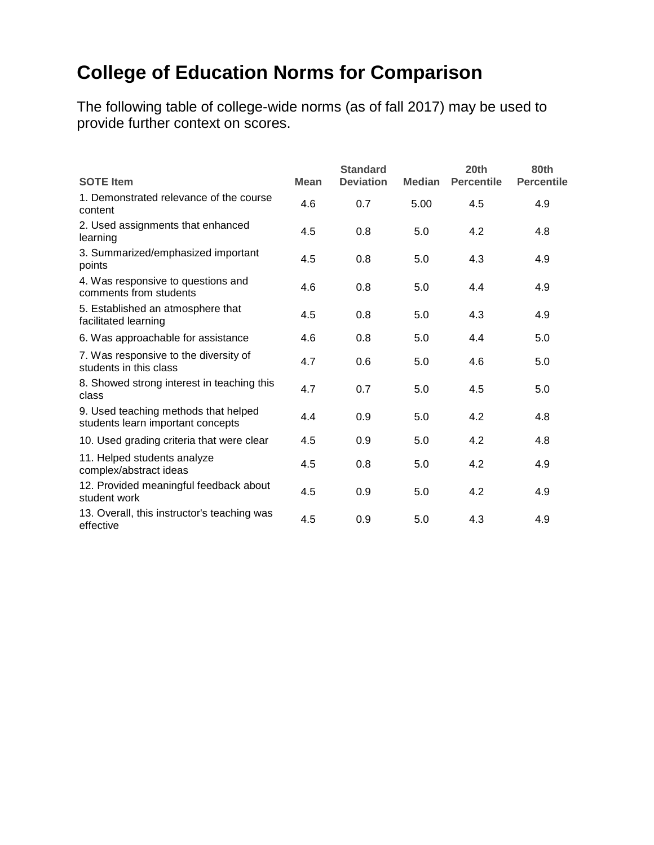## **College of Education Norms for Comparison**

| <b>SOTE Item</b>                                                          | <b>Mean</b> | <b>Standard</b><br><b>Deviation</b> | <b>Median</b> | 20th<br><b>Percentile</b> | 80th<br><b>Percentile</b> |
|---------------------------------------------------------------------------|-------------|-------------------------------------|---------------|---------------------------|---------------------------|
|                                                                           |             |                                     |               |                           |                           |
| 1. Demonstrated relevance of the course<br>content                        | 4.6         | 0.7                                 | 5.00          | 4.5                       | 4.9                       |
| 2. Used assignments that enhanced<br>learning                             | 4.5         | 0.8                                 | 5.0           | 4.2                       | 4.8                       |
| 3. Summarized/emphasized important<br>points                              | 4.5         | 0.8                                 | 5.0           | 4.3                       | 4.9                       |
| 4. Was responsive to questions and<br>comments from students              | 4.6         | 0.8                                 | 5.0           | 4.4                       | 4.9                       |
| 5. Established an atmosphere that<br>facilitated learning                 | 4.5         | 0.8                                 | 5.0           | 4.3                       | 4.9                       |
| 6. Was approachable for assistance                                        | 4.6         | 0.8                                 | 5.0           | 4.4                       | 5.0                       |
| 7. Was responsive to the diversity of<br>students in this class           | 4.7         | 0.6                                 | 5.0           | 4.6                       | 5.0                       |
| 8. Showed strong interest in teaching this<br>class                       | 4.7         | 0.7                                 | 5.0           | 4.5                       | 5.0                       |
| 9. Used teaching methods that helped<br>students learn important concepts | 4.4         | 0.9                                 | 5.0           | 4.2                       | 4.8                       |
| 10. Used grading criteria that were clear                                 | 4.5         | 0.9                                 | 5.0           | 4.2                       | 4.8                       |
| 11. Helped students analyze<br>complex/abstract ideas                     | 4.5         | 0.8                                 | 5.0           | 4.2                       | 4.9                       |
| 12. Provided meaningful feedback about<br>student work                    | 4.5         | 0.9                                 | 5.0           | 4.2                       | 4.9                       |
| 13. Overall, this instructor's teaching was<br>effective                  | 4.5         | 0.9                                 | 5.0           | 4.3                       | 4.9                       |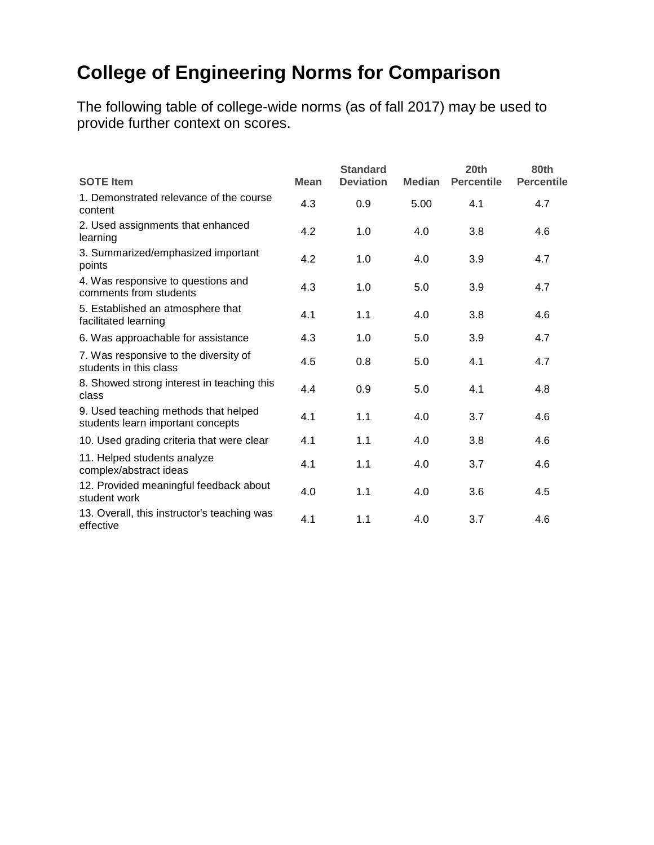## **College of Engineering Norms for Comparison**

| <b>SOTE Item</b>                                                          | <b>Mean</b> | <b>Standard</b><br><b>Deviation</b> | <b>Median</b> | 20th<br><b>Percentile</b> | 80th<br><b>Percentile</b> |
|---------------------------------------------------------------------------|-------------|-------------------------------------|---------------|---------------------------|---------------------------|
| 1. Demonstrated relevance of the course<br>content                        | 4.3         | 0.9                                 | 5.00          | 4.1                       | 4.7                       |
| 2. Used assignments that enhanced<br>learning                             | 4.2         | 1.0                                 | 4.0           | 3.8                       | 4.6                       |
| 3. Summarized/emphasized important<br>points                              | 4.2         | 1.0                                 | 4.0           | 3.9                       | 4.7                       |
| 4. Was responsive to questions and<br>comments from students              | 4.3         | 1.0                                 | 5.0           | 3.9                       | 4.7                       |
| 5. Established an atmosphere that<br>facilitated learning                 | 4.1         | 1.1                                 | 4.0           | 3.8                       | 4.6                       |
| 6. Was approachable for assistance                                        | 4.3         | 1.0                                 | 5.0           | 3.9                       | 4.7                       |
| 7. Was responsive to the diversity of<br>students in this class           | 4.5         | 0.8                                 | 5.0           | 4.1                       | 4.7                       |
| 8. Showed strong interest in teaching this<br>class                       | 4.4         | 0.9                                 | 5.0           | 4.1                       | 4.8                       |
| 9. Used teaching methods that helped<br>students learn important concepts | 4.1         | 1.1                                 | 4.0           | 3.7                       | 4.6                       |
| 10. Used grading criteria that were clear                                 | 4.1         | 1.1                                 | 4.0           | 3.8                       | 4.6                       |
| 11. Helped students analyze<br>complex/abstract ideas                     | 4.1         | 1.1                                 | 4.0           | 3.7                       | 4.6                       |
| 12. Provided meaningful feedback about<br>student work                    | 4.0         | 1.1                                 | 4.0           | 3.6                       | 4.5                       |
| 13. Overall, this instructor's teaching was<br>effective                  | 4.1         | 1.1                                 | 4.0           | 3.7                       | 4.6                       |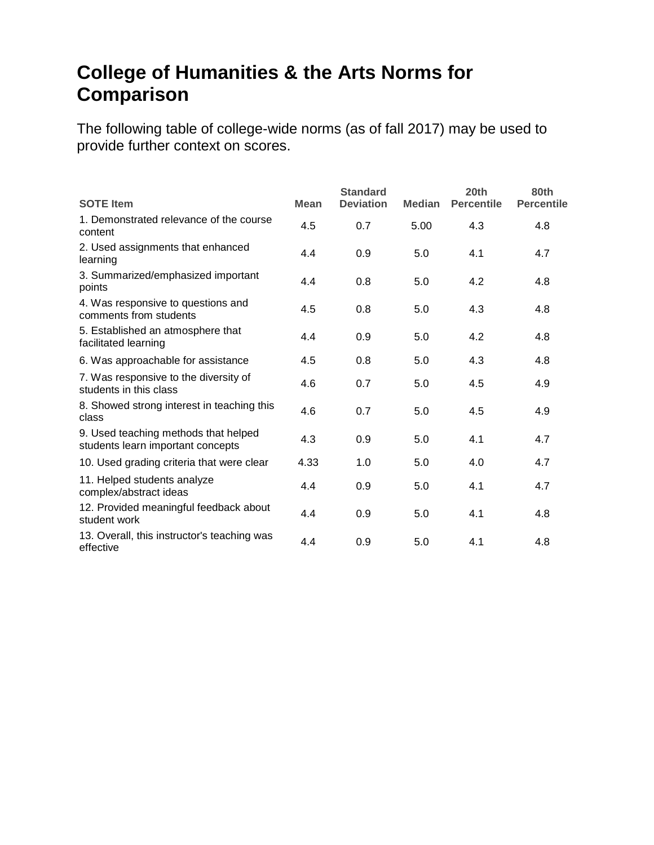#### **College of Humanities & the Arts Norms for Comparison**

| <b>SOTE</b> Item                                                          | <b>Mean</b> | <b>Standard</b><br><b>Deviation</b> | <b>Median</b> | 20th<br><b>Percentile</b> | 80th<br><b>Percentile</b> |
|---------------------------------------------------------------------------|-------------|-------------------------------------|---------------|---------------------------|---------------------------|
| 1. Demonstrated relevance of the course<br>content                        | 4.5         | 0.7                                 | 5.00          | 4.3                       | 4.8                       |
| 2. Used assignments that enhanced<br>learning                             | 4.4         | 0.9                                 | 5.0           | 4.1                       | 4.7                       |
| 3. Summarized/emphasized important<br>points                              | 4.4         | 0.8                                 | 5.0           | 4.2                       | 4.8                       |
| 4. Was responsive to questions and<br>comments from students              | 4.5         | 0.8                                 | 5.0           | 4.3                       | 4.8                       |
| 5. Established an atmosphere that<br>facilitated learning                 | 4.4         | 0.9                                 | 5.0           | 4.2                       | 4.8                       |
| 6. Was approachable for assistance                                        | 4.5         | 0.8                                 | 5.0           | 4.3                       | 4.8                       |
| 7. Was responsive to the diversity of<br>students in this class           | 4.6         | 0.7                                 | 5.0           | 4.5                       | 4.9                       |
| 8. Showed strong interest in teaching this<br>class                       | 4.6         | 0.7                                 | 5.0           | 4.5                       | 4.9                       |
| 9. Used teaching methods that helped<br>students learn important concepts | 4.3         | 0.9                                 | 5.0           | 4.1                       | 4.7                       |
| 10. Used grading criteria that were clear                                 | 4.33        | 1.0                                 | 5.0           | 4.0                       | 4.7                       |
| 11. Helped students analyze<br>complex/abstract ideas                     | 4.4         | 0.9                                 | 5.0           | 4.1                       | 4.7                       |
| 12. Provided meaningful feedback about<br>student work                    | 4.4         | 0.9                                 | 5.0           | 4.1                       | 4.8                       |
| 13. Overall, this instructor's teaching was<br>effective                  | 4.4         | 0.9                                 | 5.0           | 4.1                       | 4.8                       |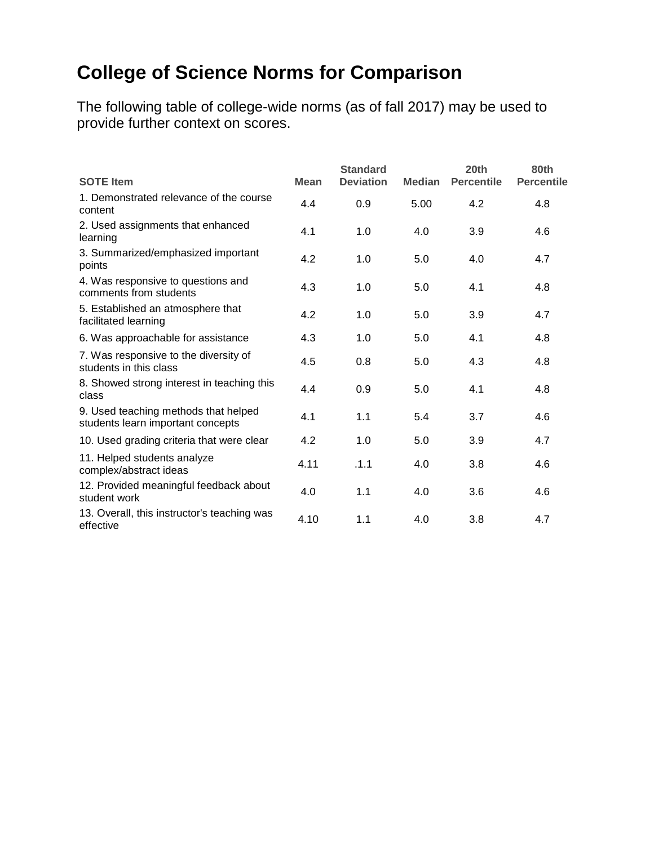## **College of Science Norms for Comparison**

| <b>SOTE Item</b>                                                          | <b>Mean</b> | <b>Standard</b><br><b>Deviation</b> | <b>Median</b> | 20th<br><b>Percentile</b> | 80th<br><b>Percentile</b> |
|---------------------------------------------------------------------------|-------------|-------------------------------------|---------------|---------------------------|---------------------------|
| 1. Demonstrated relevance of the course<br>content                        | 4.4         | 0.9                                 | 5.00          | 4.2                       | 4.8                       |
| 2. Used assignments that enhanced<br>learning                             | 4.1         | 1.0                                 | 4.0           | 3.9                       | 4.6                       |
| 3. Summarized/emphasized important<br>points                              | 4.2         | 1.0                                 | 5.0           | 4.0                       | 4.7                       |
| 4. Was responsive to questions and<br>comments from students              | 4.3         | 1.0                                 | 5.0           | 4.1                       | 4.8                       |
| 5. Established an atmosphere that<br>facilitated learning                 | 4.2         | 1.0                                 | 5.0           | 3.9                       | 4.7                       |
| 6. Was approachable for assistance                                        | 4.3         | 1.0                                 | 5.0           | 4.1                       | 4.8                       |
| 7. Was responsive to the diversity of<br>students in this class           | 4.5         | 0.8                                 | 5.0           | 4.3                       | 4.8                       |
| 8. Showed strong interest in teaching this<br>class                       | 4.4         | 0.9                                 | 5.0           | 4.1                       | 4.8                       |
| 9. Used teaching methods that helped<br>students learn important concepts | 4.1         | 1.1                                 | 5.4           | 3.7                       | 4.6                       |
| 10. Used grading criteria that were clear                                 | 4.2         | 1.0                                 | 5.0           | 3.9                       | 4.7                       |
| 11. Helped students analyze<br>complex/abstract ideas                     | 4.11        | .1.1                                | 4.0           | 3.8                       | 4.6                       |
| 12. Provided meaningful feedback about<br>student work                    | 4.0         | 1.1                                 | 4.0           | 3.6                       | 4.6                       |
| 13. Overall, this instructor's teaching was<br>effective                  | 4.10        | 1.1                                 | 4.0           | 3.8                       | 4.7                       |